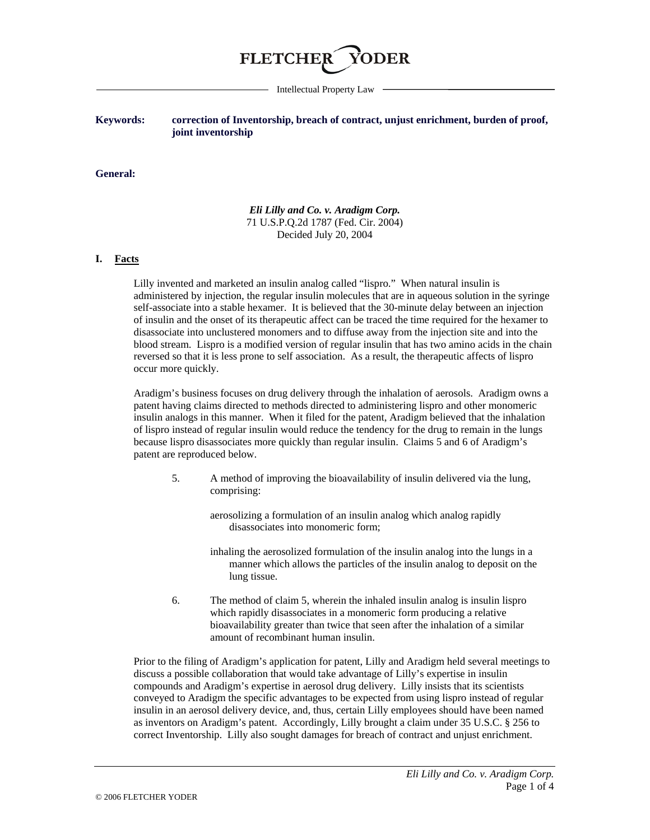

Intellectual Property Law

## **Keywords: correction of Inventorship, breach of contract, unjust enrichment, burden of proof, joint inventorship**

#### **General:**

*Eli Lilly and Co. v. Aradigm Corp.* 71 U.S.P.Q.2d 1787 (Fed. Cir. 2004) Decided July 20, 2004

### **I. Facts**

Lilly invented and marketed an insulin analog called "lispro." When natural insulin is administered by injection, the regular insulin molecules that are in aqueous solution in the syringe self-associate into a stable hexamer. It is believed that the 30-minute delay between an injection of insulin and the onset of its therapeutic affect can be traced the time required for the hexamer to disassociate into unclustered monomers and to diffuse away from the injection site and into the blood stream. Lispro is a modified version of regular insulin that has two amino acids in the chain reversed so that it is less prone to self association. As a result, the therapeutic affects of lispro occur more quickly.

Aradigm's business focuses on drug delivery through the inhalation of aerosols. Aradigm owns a patent having claims directed to methods directed to administering lispro and other monomeric insulin analogs in this manner. When it filed for the patent, Aradigm believed that the inhalation of lispro instead of regular insulin would reduce the tendency for the drug to remain in the lungs because lispro disassociates more quickly than regular insulin. Claims 5 and 6 of Aradigm's patent are reproduced below.

5. A method of improving the bioavailability of insulin delivered via the lung, comprising:

> aerosolizing a formulation of an insulin analog which analog rapidly disassociates into monomeric form;

- inhaling the aerosolized formulation of the insulin analog into the lungs in a manner which allows the particles of the insulin analog to deposit on the lung tissue.
- 6. The method of claim 5, wherein the inhaled insulin analog is insulin lispro which rapidly disassociates in a monomeric form producing a relative bioavailability greater than twice that seen after the inhalation of a similar amount of recombinant human insulin.

Prior to the filing of Aradigm's application for patent, Lilly and Aradigm held several meetings to discuss a possible collaboration that would take advantage of Lilly's expertise in insulin compounds and Aradigm's expertise in aerosol drug delivery. Lilly insists that its scientists conveyed to Aradigm the specific advantages to be expected from using lispro instead of regular insulin in an aerosol delivery device, and, thus, certain Lilly employees should have been named as inventors on Aradigm's patent. Accordingly, Lilly brought a claim under 35 U.S.C. § 256 to correct Inventorship. Lilly also sought damages for breach of contract and unjust enrichment.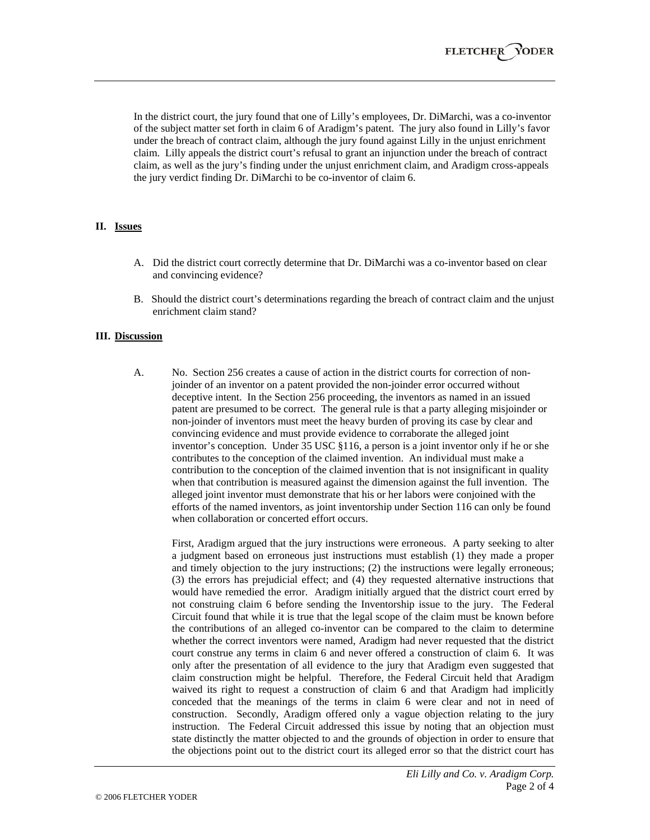In the district court, the jury found that one of Lilly's employees, Dr. DiMarchi, was a co-inventor of the subject matter set forth in claim 6 of Aradigm's patent. The jury also found in Lilly's favor under the breach of contract claim, although the jury found against Lilly in the unjust enrichment claim. Lilly appeals the district court's refusal to grant an injunction under the breach of contract claim, as well as the jury's finding under the unjust enrichment claim, and Aradigm cross-appeals the jury verdict finding Dr. DiMarchi to be co-inventor of claim 6.

## **II. Issues**

- A. Did the district court correctly determine that Dr. DiMarchi was a co-inventor based on clear and convincing evidence?
- B. Should the district court's determinations regarding the breach of contract claim and the unjust enrichment claim stand?

### **III. Discussion**

A. No. Section 256 creates a cause of action in the district courts for correction of nonjoinder of an inventor on a patent provided the non-joinder error occurred without deceptive intent. In the Section 256 proceeding, the inventors as named in an issued patent are presumed to be correct. The general rule is that a party alleging misjoinder or non-joinder of inventors must meet the heavy burden of proving its case by clear and convincing evidence and must provide evidence to corraborate the alleged joint inventor's conception. Under 35 USC §116, a person is a joint inventor only if he or she contributes to the conception of the claimed invention. An individual must make a contribution to the conception of the claimed invention that is not insignificant in quality when that contribution is measured against the dimension against the full invention. The alleged joint inventor must demonstrate that his or her labors were conjoined with the efforts of the named inventors, as joint inventorship under Section 116 can only be found when collaboration or concerted effort occurs.

First, Aradigm argued that the jury instructions were erroneous. A party seeking to alter a judgment based on erroneous just instructions must establish (1) they made a proper and timely objection to the jury instructions; (2) the instructions were legally erroneous; (3) the errors has prejudicial effect; and (4) they requested alternative instructions that would have remedied the error. Aradigm initially argued that the district court erred by not construing claim 6 before sending the Inventorship issue to the jury. The Federal Circuit found that while it is true that the legal scope of the claim must be known before the contributions of an alleged co-inventor can be compared to the claim to determine whether the correct inventors were named, Aradigm had never requested that the district court construe any terms in claim 6 and never offered a construction of claim 6. It was only after the presentation of all evidence to the jury that Aradigm even suggested that claim construction might be helpful. Therefore, the Federal Circuit held that Aradigm waived its right to request a construction of claim 6 and that Aradigm had implicitly conceded that the meanings of the terms in claim 6 were clear and not in need of construction. Secondly, Aradigm offered only a vague objection relating to the jury instruction. The Federal Circuit addressed this issue by noting that an objection must state distinctly the matter objected to and the grounds of objection in order to ensure that the objections point out to the district court its alleged error so that the district court has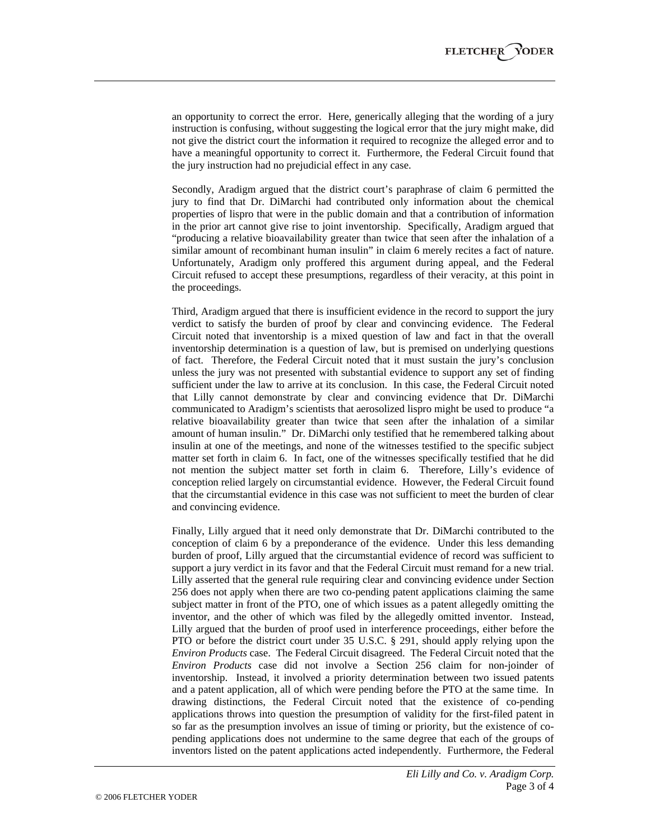an opportunity to correct the error. Here, generically alleging that the wording of a jury instruction is confusing, without suggesting the logical error that the jury might make, did not give the district court the information it required to recognize the alleged error and to have a meaningful opportunity to correct it. Furthermore, the Federal Circuit found that the jury instruction had no prejudicial effect in any case.

Secondly, Aradigm argued that the district court's paraphrase of claim 6 permitted the jury to find that Dr. DiMarchi had contributed only information about the chemical properties of lispro that were in the public domain and that a contribution of information in the prior art cannot give rise to joint inventorship. Specifically, Aradigm argued that "producing a relative bioavailability greater than twice that seen after the inhalation of a similar amount of recombinant human insulin" in claim 6 merely recites a fact of nature. Unfortunately, Aradigm only proffered this argument during appeal, and the Federal Circuit refused to accept these presumptions, regardless of their veracity, at this point in the proceedings.

Third, Aradigm argued that there is insufficient evidence in the record to support the jury verdict to satisfy the burden of proof by clear and convincing evidence. The Federal Circuit noted that inventorship is a mixed question of law and fact in that the overall inventorship determination is a question of law, but is premised on underlying questions of fact. Therefore, the Federal Circuit noted that it must sustain the jury's conclusion unless the jury was not presented with substantial evidence to support any set of finding sufficient under the law to arrive at its conclusion. In this case, the Federal Circuit noted that Lilly cannot demonstrate by clear and convincing evidence that Dr. DiMarchi communicated to Aradigm's scientists that aerosolized lispro might be used to produce "a relative bioavailability greater than twice that seen after the inhalation of a similar amount of human insulin." Dr. DiMarchi only testified that he remembered talking about insulin at one of the meetings, and none of the witnesses testified to the specific subject matter set forth in claim 6. In fact, one of the witnesses specifically testified that he did not mention the subject matter set forth in claim 6. Therefore, Lilly's evidence of conception relied largely on circumstantial evidence. However, the Federal Circuit found that the circumstantial evidence in this case was not sufficient to meet the burden of clear and convincing evidence.

Finally, Lilly argued that it need only demonstrate that Dr. DiMarchi contributed to the conception of claim 6 by a preponderance of the evidence. Under this less demanding burden of proof, Lilly argued that the circumstantial evidence of record was sufficient to support a jury verdict in its favor and that the Federal Circuit must remand for a new trial. Lilly asserted that the general rule requiring clear and convincing evidence under Section 256 does not apply when there are two co-pending patent applications claiming the same subject matter in front of the PTO, one of which issues as a patent allegedly omitting the inventor, and the other of which was filed by the allegedly omitted inventor. Instead, Lilly argued that the burden of proof used in interference proceedings, either before the PTO or before the district court under 35 U.S.C. § 291, should apply relying upon the *Environ Products* case. The Federal Circuit disagreed. The Federal Circuit noted that the *Environ Products* case did not involve a Section 256 claim for non-joinder of inventorship. Instead, it involved a priority determination between two issued patents and a patent application, all of which were pending before the PTO at the same time. In drawing distinctions, the Federal Circuit noted that the existence of co-pending applications throws into question the presumption of validity for the first-filed patent in so far as the presumption involves an issue of timing or priority, but the existence of copending applications does not undermine to the same degree that each of the groups of inventors listed on the patent applications acted independently. Furthermore, the Federal